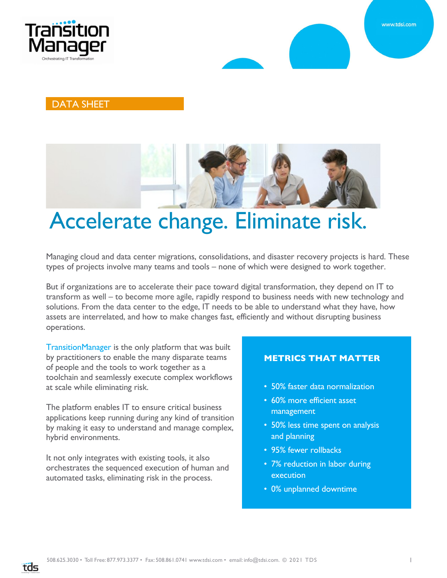

#### DATA SHEET



# Accelerate change. Eliminate risk.

Managing cloud and data center migrations, consolidations, and disaster recovery projects is hard. These types of projects involve many teams and tools – none of which were designed to work together.

But if organizations are to accelerate their pace toward digital transformation, they depend on IT to transform as well – to become more agile, rapidly respond to business needs with new technology and solutions. From the data center to the edge, IT needs to be able to understand what they have, how assets are interrelated, and how to make changes fast, efficiently and without disrupting business operations.

TransitionManager is the only platform that was built by practitioners to enable the many disparate teams of people and the tools to work together as a toolchain and seamlessly execute complex workflows at scale while eliminating risk.

The platform enables IT to ensure critical business applications keep running during any kind of transition by making it easy to understand and manage complex, hybrid environments.

It not only integrates with existing tools, it also orchestrates the sequenced execution of human and automated tasks, eliminating risk in the process.

**tds** 

#### **METRICS THAT MATTER**

- 50% faster data normalization
- 60% more efficient asset management
- 50% less time spent on analysis and planning
- 95% fewer rollbacks
- 7% reduction in labor during execution
- 0% unplanned downtime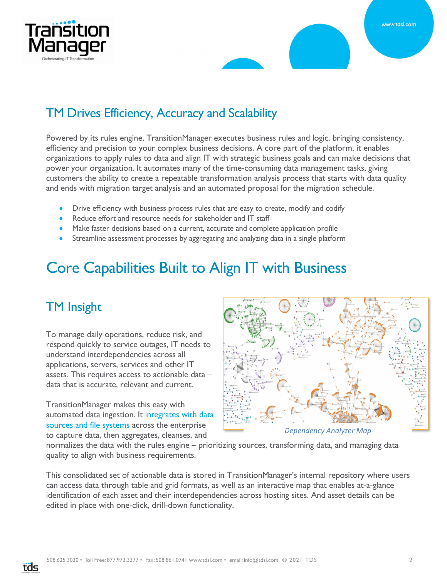



### TM Drives Efficiency, Accuracy and Scalability

Powered by its rules engine, TransitionManager executes business rules and logic, bringing consistency, efficiency and precision to your complex business decisions. A core part of the platform, it enables organizations to apply rules to data and align IT with strategic business goals and can make decisions that power your organization. It automates many of the time-consuming data management tasks, giving customers the ability to create a repeatable transformation analysis process that starts with data quality and ends with migration target analysis and an automated proposal for the migration schedule.

- Drive efficiency with business process rules that are easy to create, modify and codify
- Reduce effort and resource needs for stakeholder and IT staff
- Make faster decisions based on a current, accurate and complete application profile
- Streamline assessment processes by aggregating and analyzing data in a single platform

# Core Capabilities Built to Align IT with Business

#### TM Insight

To manage daily operations, reduce risk, and respond quickly to service outages, IT needs to understand interdependencies across all applications, servers, services and other IT assets. This requires access to actionable data – data that is accurate, relevant and current.

TransitionManager makes this easy with automated data ingestion. It integrates with data sources and file systems across the enterprise to capture data, then aggregates, cleanses, and



*Dependency Analyzer Map*

normalizes the data with the rules engine – prioritizing sources, transforming data, and managing data quality to align with business requirements.

This consolidated set of actionable data is stored in TransitionManager's internal repository where users can access data through table and grid formats, as well as an interactive map that enables at-a-glance identification of each asset and their interdependencies across hosting sites. And asset details can be edited in place with one-click, drill-down functionality.

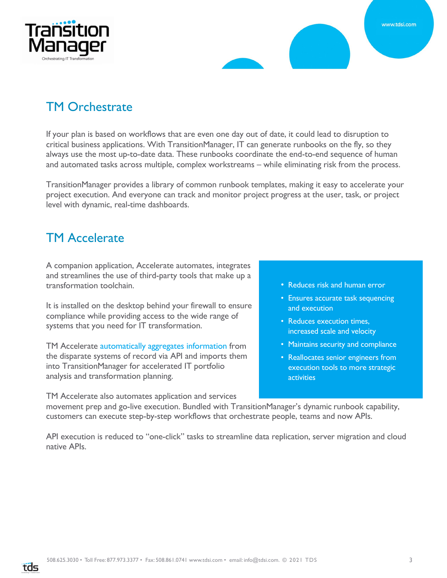



## TM Orchestrate

If your plan is based on workflows that are even one day out of date, it could lead to disruption to critical business applications. With TransitionManager, IT can generate runbooks on the fly, so they always use the most up-to-date data. These runbooks coordinate the end-to-end sequence of human and automated tasks across multiple, complex workstreams – while eliminating risk from the process.

TransitionManager provides a library of common runbook templates, making it easy to accelerate your project execution. And everyone can track and monitor project progress at the user, task, or project level with dynamic, real-time dashboards.

#### TM Accelerate

A companion application, Accelerate automates, integrates and streamlines the use of third-party tools that make up a transformation toolchain.

It is installed on the desktop behind your firewall to ensure compliance while providing access to the wide range of systems that you need for IT transformation.

TM Accelerate automatically aggregates information from the disparate systems of record via API and imports them into TransitionManager for accelerated IT portfolio analysis and transformation planning.

TM Accelerate also automates application and services

- Reduces risk and human error
- Ensures accurate task sequencing and execution
- Reduces execution times, increased scale and velocity
- Maintains security and compliance
- Reallocates senior engineers from execution tools to more strategic activities

movement prep and go-live execution. Bundled with TransitionManager's dynamic runbook capability, customers can execute step-by-step workflows that orchestrate people, teams and now APIs.

API execution is reduced to "one-click" tasks to streamline data replication, server migration and cloud native APIs.